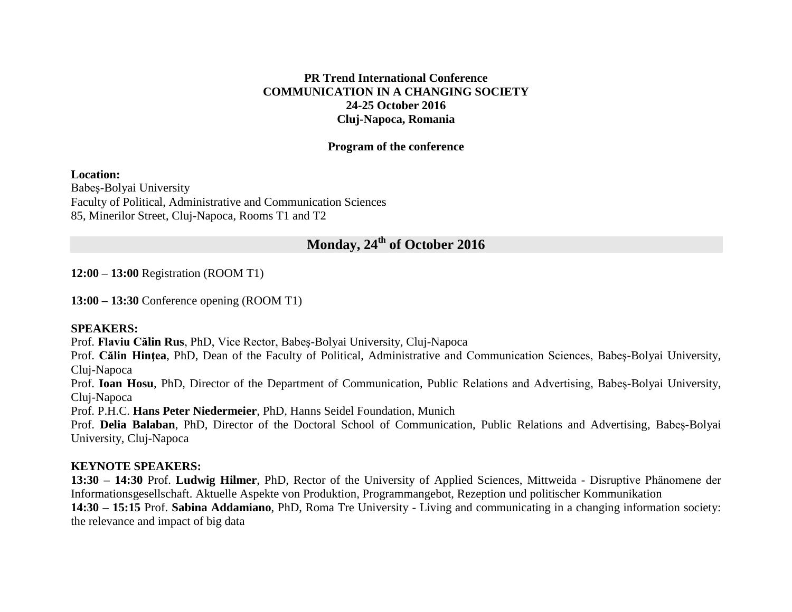#### **PR Trend International Conference COMMUNICATION IN A CHANGING SOCIETY 24-25 October 2016 Cluj-Napoca, Romania**

#### **Program of the conference**

**Location:**

Babeş-Bolyai University Faculty of Political, Administrative and Communication Sciences 85, Minerilor Street, Cluj-Napoca, Rooms T1 and T2

### **Monday, 24th of October 2016**

**12:00 – 13:00** Registration (ROOM T1)

**13:00 – 13:30** Conference opening (ROOM T1)

#### **SPEAKERS:**

Prof. **Flaviu Călin Rus**, PhD, Vice Rector, Babeş-Bolyai University, Cluj-Napoca

Prof. **Călin Hinţea**, PhD, Dean of the Faculty of Political, Administrative and Communication Sciences, Babeş-Bolyai University, Cluj-Napoca

Prof. **Ioan Hosu**, PhD, Director of the Department of Communication, Public Relations and Advertising, Babeş-Bolyai University, Cluj-Napoca

Prof. P.H.C. **Hans Peter Niedermeier**, PhD, Hanns Seidel Foundation, Munich

Prof. **Delia Balaban**, PhD, Director of the Doctoral School of Communication, Public Relations and Advertising, Babeş-Bolyai University, Cluj-Napoca

#### **KEYNOTE SPEAKERS:**

**13:30 – 14:30** Prof. **Ludwig Hilmer**, PhD, Rector of the University of Applied Sciences, Mittweida - Disruptive Phänomene der Informationsgesellschaft. Aktuelle Aspekte von Produktion, Programmangebot, Rezeption und politischer Kommunikation **14:30 – 15:15** Prof. **Sabina Addamiano**, PhD, Roma Tre University - Living and communicating in a changing information society: the relevance and impact of big data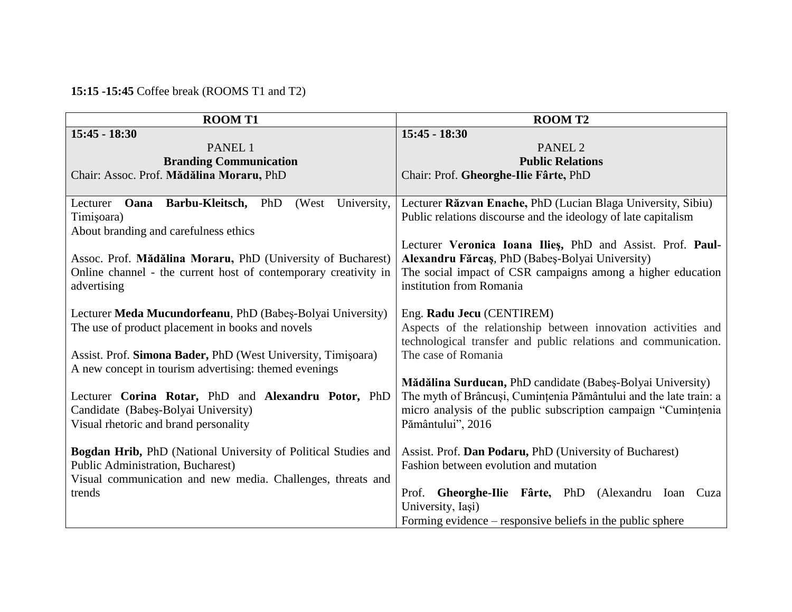## **15:15 -15:45** Coffee break (ROOMS T1 and T2)

| <b>ROOMT1</b>                                                                                              | <b>ROOMT2</b>                                                                                                 |
|------------------------------------------------------------------------------------------------------------|---------------------------------------------------------------------------------------------------------------|
| $15:45 - 18:30$                                                                                            | $15:45 - 18:30$                                                                                               |
| PANEL 1                                                                                                    | PANEL <sub>2</sub>                                                                                            |
| <b>Branding Communication</b>                                                                              | <b>Public Relations</b>                                                                                       |
| Chair: Assoc. Prof. Mădălina Moraru, PhD                                                                   | Chair: Prof. Gheorghe-Ilie Fârte, PhD                                                                         |
|                                                                                                            |                                                                                                               |
| <b>Oana Barbu-Kleitsch, PhD</b><br>(West)<br>University,<br>Lecturer                                       | Lecturer Răzvan Enache, PhD (Lucian Blaga University, Sibiu)                                                  |
| Timișoara)                                                                                                 | Public relations discourse and the ideology of late capitalism                                                |
| About branding and carefulness ethics                                                                      |                                                                                                               |
| Assoc. Prof. Mădălina Moraru, PhD (University of Bucharest)                                                | Lecturer Veronica Ioana Ilies, PhD and Assist. Prof. Paul-<br>Alexandru Fărcaș, PhD (Babeș-Bolyai University) |
| Online channel - the current host of contemporary creativity in                                            | The social impact of CSR campaigns among a higher education                                                   |
| advertising                                                                                                | institution from Romania                                                                                      |
|                                                                                                            |                                                                                                               |
| Lecturer Meda Mucundorfeanu, PhD (Babeș-Bolyai University)                                                 | Eng. Radu Jecu (CENTIREM)                                                                                     |
| The use of product placement in books and novels                                                           | Aspects of the relationship between innovation activities and                                                 |
|                                                                                                            | technological transfer and public relations and communication.                                                |
| Assist. Prof. Simona Bader, PhD (West University, Timișoara)                                               | The case of Romania                                                                                           |
| A new concept in tourism advertising: themed evenings                                                      |                                                                                                               |
|                                                                                                            | Mădălina Surducan, PhD candidate (Babeș-Bolyai University)                                                    |
| Lecturer Corina Rotar, PhD and Alexandru Potor, PhD                                                        | The myth of Brâncuși, Cumințenia Pământului and the late train: a                                             |
| Candidate (Babeș-Bolyai University)                                                                        | micro analysis of the public subscription campaign "Cumintenia                                                |
| Visual rhetoric and brand personality                                                                      | Pământului", 2016                                                                                             |
|                                                                                                            |                                                                                                               |
| <b>Bogdan Hrib, PhD</b> (National University of Political Studies and<br>Public Administration, Bucharest) | Assist. Prof. Dan Podaru, PhD (University of Bucharest)<br>Fashion between evolution and mutation             |
| Visual communication and new media. Challenges, threats and                                                |                                                                                                               |
| trends                                                                                                     | Prof. Gheorghe-Ilie Fârte, PhD (Alexandru Ioan Cuza                                                           |
|                                                                                                            | University, Iași)                                                                                             |
|                                                                                                            | Forming evidence – responsive beliefs in the public sphere                                                    |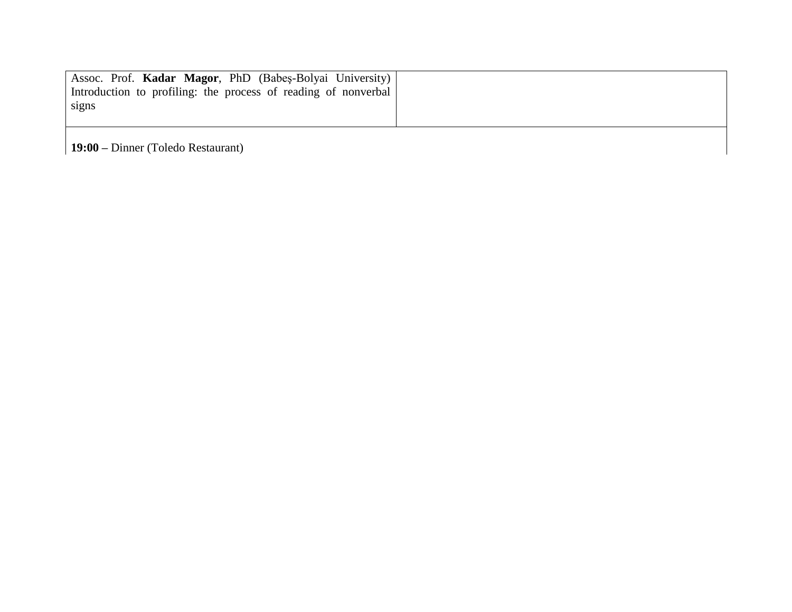| Assoc. Prof. Kadar Magor, PhD (Babes-Bolyai University)        |
|----------------------------------------------------------------|
| Introduction to profiling: the process of reading of nonverbal |
| signs                                                          |
|                                                                |

**19:00 –** Dinner (Toledo Restaurant)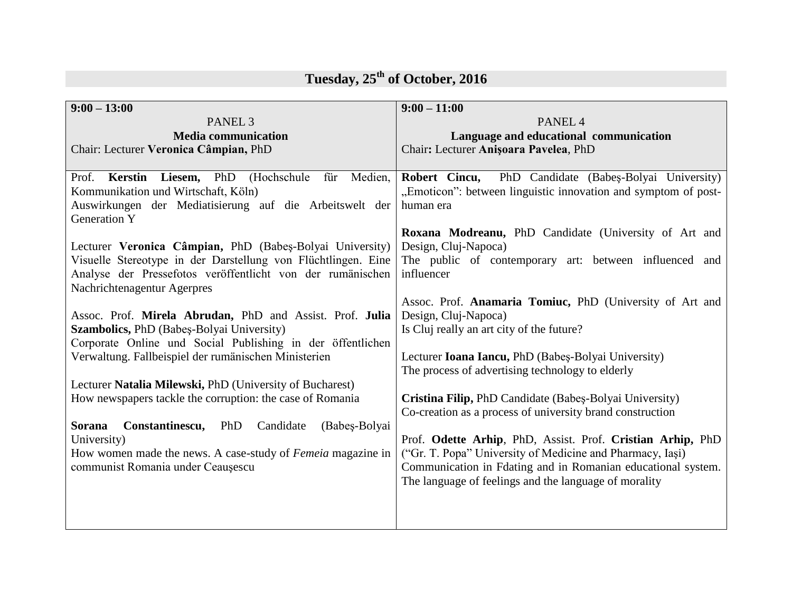| $9:00 - 13:00$                                                        | $9:00 - 11:00$                                                 |
|-----------------------------------------------------------------------|----------------------------------------------------------------|
| PANEL <sub>3</sub>                                                    | PANEL <sub>4</sub>                                             |
| <b>Media communication</b>                                            | Language and educational communication                         |
| Chair: Lecturer Veronica Câmpian, PhD                                 | Chair: Lecturer Anișoara Pavelea, PhD                          |
|                                                                       |                                                                |
| Prof. Kerstin Liesem, PhD<br>(Hochschule)<br>Medien,<br>für           | Robert Cincu, PhD Candidate (Babes-Bolyai University)          |
| Kommunikation und Wirtschaft, Köln)                                   | "Emoticon": between linguistic innovation and symptom of post- |
| Auswirkungen der Mediatisierung auf die Arbeitswelt der               | human era                                                      |
| <b>Generation Y</b>                                                   |                                                                |
|                                                                       | Roxana Modreanu, PhD Candidate (University of Art and          |
| Lecturer Veronica Câmpian, PhD (Babeș-Bolyai University)              | Design, Cluj-Napoca)                                           |
| Visuelle Stereotype in der Darstellung von Flüchtlingen. Eine         | The public of contemporary art: between influenced and         |
| Analyse der Pressefotos veröffentlicht von der rumänischen            | influencer                                                     |
| Nachrichtenagentur Agerpres                                           |                                                                |
|                                                                       | Assoc. Prof. Anamaria Tomiuc, PhD (University of Art and       |
| Assoc. Prof. Mirela Abrudan, PhD and Assist. Prof. Julia              | Design, Cluj-Napoca)                                           |
| Szambolics, PhD (Babeș-Bolyai University)                             | Is Cluj really an art city of the future?                      |
| Corporate Online und Social Publishing in der öffentlichen            |                                                                |
| Verwaltung. Fallbeispiel der rumänischen Ministerien                  | Lecturer Ioana Iancu, PhD (Babeș-Bolyai University)            |
|                                                                       | The process of advertising technology to elderly               |
| Lecturer Natalia Milewski, PhD (University of Bucharest)              |                                                                |
| How newspapers tackle the corruption: the case of Romania             | Cristina Filip, PhD Candidate (Babeș-Bolyai University)        |
|                                                                       | Co-creation as a process of university brand construction      |
| <b>Sorana</b><br>Constantinescu,<br>PhD<br>Candidate<br>(Babeş-Bolyai |                                                                |
| University)                                                           | Prof. Odette Arhip, PhD, Assist. Prof. Cristian Arhip, PhD     |
| How women made the news. A case-study of <i>Femeia</i> magazine in    | ("Gr. T. Popa" University of Medicine and Pharmacy, Iași)      |
| communist Romania under Ceaușescu                                     | Communication in Fdating and in Romanian educational system.   |
|                                                                       | The language of feelings and the language of morality          |
|                                                                       |                                                                |
|                                                                       |                                                                |
|                                                                       |                                                                |

# **Tuesday, 25th of October, 2016**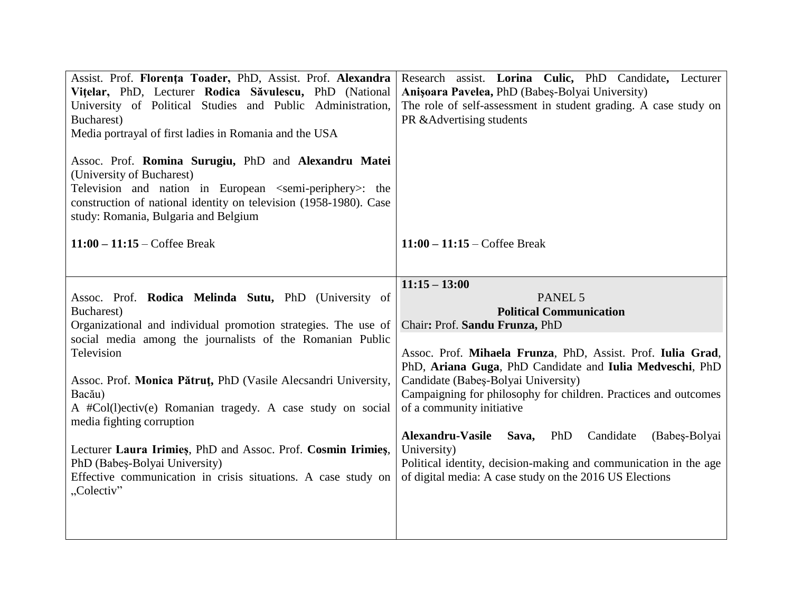| Assist. Prof. Florența Toader, PhD, Assist. Prof. Alexandra<br>Vitelar, PhD, Lecturer Rodica Săvulescu, PhD (National<br>University of Political Studies and Public Administration,<br>Bucharest)<br>Media portrayal of first ladies in Romania and the USA<br>Assoc. Prof. Romina Surugiu, PhD and Alexandru Matei<br>(University of Bucharest)<br>Television and nation in European <semi-periphery>: the<br/>construction of national identity on television (1958-1980). Case<br/>study: Romania, Bulgaria and Belgium</semi-periphery> | Research assist. Lorina Culic, PhD Candidate, Lecturer<br>Anișoara Pavelea, PhD (Babeș-Bolyai University)<br>The role of self-assessment in student grading. A case study on<br>PR & Advertising students |
|---------------------------------------------------------------------------------------------------------------------------------------------------------------------------------------------------------------------------------------------------------------------------------------------------------------------------------------------------------------------------------------------------------------------------------------------------------------------------------------------------------------------------------------------|-----------------------------------------------------------------------------------------------------------------------------------------------------------------------------------------------------------|
| $11:00 - 11:15 - \text{Coffee Break}$                                                                                                                                                                                                                                                                                                                                                                                                                                                                                                       | $11:00 - 11:15 - \text{Coffee Break}$                                                                                                                                                                     |
|                                                                                                                                                                                                                                                                                                                                                                                                                                                                                                                                             | $11:15 - 13:00$                                                                                                                                                                                           |
| Assoc. Prof. Rodica Melinda Sutu, PhD (University of                                                                                                                                                                                                                                                                                                                                                                                                                                                                                        | PANEL 5                                                                                                                                                                                                   |
| Bucharest)<br>Organizational and individual promotion strategies. The use of                                                                                                                                                                                                                                                                                                                                                                                                                                                                | <b>Political Communication</b><br>Chair: Prof. Sandu Frunza, PhD                                                                                                                                          |
| social media among the journalists of the Romanian Public                                                                                                                                                                                                                                                                                                                                                                                                                                                                                   |                                                                                                                                                                                                           |
| Television                                                                                                                                                                                                                                                                                                                                                                                                                                                                                                                                  | Assoc. Prof. Mihaela Frunza, PhD, Assist. Prof. Iulia Grad,                                                                                                                                               |
|                                                                                                                                                                                                                                                                                                                                                                                                                                                                                                                                             | PhD, Ariana Guga, PhD Candidate and Iulia Medveschi, PhD                                                                                                                                                  |
| Assoc. Prof. Monica Pătruț, PhD (Vasile Alecsandri University,                                                                                                                                                                                                                                                                                                                                                                                                                                                                              | Candidate (Babeș-Bolyai University)                                                                                                                                                                       |
| Bacău)<br>A #Col(l)ectiv(e) Romanian tragedy. A case study on social                                                                                                                                                                                                                                                                                                                                                                                                                                                                        | Campaigning for philosophy for children. Practices and outcomes<br>of a community initiative                                                                                                              |
| media fighting corruption                                                                                                                                                                                                                                                                                                                                                                                                                                                                                                                   |                                                                                                                                                                                                           |
|                                                                                                                                                                                                                                                                                                                                                                                                                                                                                                                                             | Alexandru-Vasile<br>Sava,<br>PhD<br>Candidate<br>(Babeş-Bolyai                                                                                                                                            |
| Lecturer Laura Irimies, PhD and Assoc. Prof. Cosmin Irimies,                                                                                                                                                                                                                                                                                                                                                                                                                                                                                | University)                                                                                                                                                                                               |
| PhD (Babeș-Bolyai University)                                                                                                                                                                                                                                                                                                                                                                                                                                                                                                               | Political identity, decision-making and communication in the age                                                                                                                                          |
| Effective communication in crisis situations. A case study on<br>"Colectiv"                                                                                                                                                                                                                                                                                                                                                                                                                                                                 | of digital media: A case study on the 2016 US Elections                                                                                                                                                   |
|                                                                                                                                                                                                                                                                                                                                                                                                                                                                                                                                             |                                                                                                                                                                                                           |
|                                                                                                                                                                                                                                                                                                                                                                                                                                                                                                                                             |                                                                                                                                                                                                           |
|                                                                                                                                                                                                                                                                                                                                                                                                                                                                                                                                             |                                                                                                                                                                                                           |